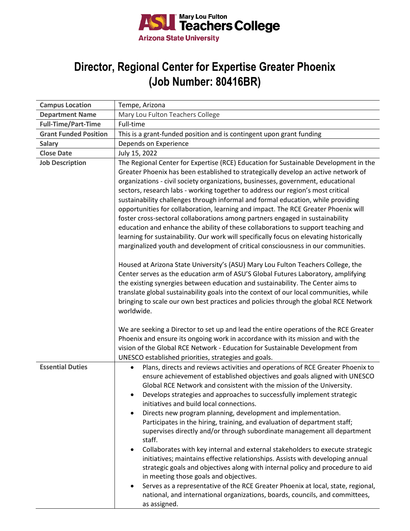

## **Director, Regional Center for Expertise Greater Phoenix (Job Number: 80416BR)**

| <b>Campus Location</b>       | Tempe, Arizona                                                                                                                                                                                                                                                                                                                                                                                                                                                                                                                                                                                                                                                                                                                                                                                                                                                                                                                                                                                                                                                                                                                                                                                                                                                                                                                               |
|------------------------------|----------------------------------------------------------------------------------------------------------------------------------------------------------------------------------------------------------------------------------------------------------------------------------------------------------------------------------------------------------------------------------------------------------------------------------------------------------------------------------------------------------------------------------------------------------------------------------------------------------------------------------------------------------------------------------------------------------------------------------------------------------------------------------------------------------------------------------------------------------------------------------------------------------------------------------------------------------------------------------------------------------------------------------------------------------------------------------------------------------------------------------------------------------------------------------------------------------------------------------------------------------------------------------------------------------------------------------------------|
| <b>Department Name</b>       | Mary Lou Fulton Teachers College                                                                                                                                                                                                                                                                                                                                                                                                                                                                                                                                                                                                                                                                                                                                                                                                                                                                                                                                                                                                                                                                                                                                                                                                                                                                                                             |
| <b>Full-Time/Part-Time</b>   | Full-time                                                                                                                                                                                                                                                                                                                                                                                                                                                                                                                                                                                                                                                                                                                                                                                                                                                                                                                                                                                                                                                                                                                                                                                                                                                                                                                                    |
| <b>Grant Funded Position</b> | This is a grant-funded position and is contingent upon grant funding                                                                                                                                                                                                                                                                                                                                                                                                                                                                                                                                                                                                                                                                                                                                                                                                                                                                                                                                                                                                                                                                                                                                                                                                                                                                         |
| <b>Salary</b>                | Depends on Experience                                                                                                                                                                                                                                                                                                                                                                                                                                                                                                                                                                                                                                                                                                                                                                                                                                                                                                                                                                                                                                                                                                                                                                                                                                                                                                                        |
| <b>Close Date</b>            | July 15, 2022                                                                                                                                                                                                                                                                                                                                                                                                                                                                                                                                                                                                                                                                                                                                                                                                                                                                                                                                                                                                                                                                                                                                                                                                                                                                                                                                |
| <b>Job Description</b>       | The Regional Center for Expertise (RCE) Education for Sustainable Development in the<br>Greater Phoenix has been established to strategically develop an active network of<br>organizations - civil society organizations, businesses, government, educational<br>sectors, research labs - working together to address our region's most critical<br>sustainability challenges through informal and formal education, while providing<br>opportunities for collaboration, learning and impact. The RCE Greater Phoenix will<br>foster cross-sectoral collaborations among partners engaged in sustainability<br>education and enhance the ability of these collaborations to support teaching and<br>learning for sustainability. Our work will specifically focus on elevating historically<br>marginalized youth and development of critical consciousness in our communities.<br>Housed at Arizona State University's (ASU) Mary Lou Fulton Teachers College, the<br>Center serves as the education arm of ASU'S Global Futures Laboratory, amplifying<br>the existing synergies between education and sustainability. The Center aims to<br>translate global sustainability goals into the context of our local communities, while<br>bringing to scale our own best practices and policies through the global RCE Network<br>worldwide. |
|                              | We are seeking a Director to set up and lead the entire operations of the RCE Greater<br>Phoenix and ensure its ongoing work in accordance with its mission and with the                                                                                                                                                                                                                                                                                                                                                                                                                                                                                                                                                                                                                                                                                                                                                                                                                                                                                                                                                                                                                                                                                                                                                                     |
|                              | vision of the Global RCE Network - Education for Sustainable Development from<br>UNESCO established priorities, strategies and goals.                                                                                                                                                                                                                                                                                                                                                                                                                                                                                                                                                                                                                                                                                                                                                                                                                                                                                                                                                                                                                                                                                                                                                                                                        |
| <b>Essential Duties</b>      | Plans, directs and reviews activities and operations of RCE Greater Phoenix to<br>$\bullet$<br>ensure achievement of established objectives and goals aligned with UNESCO<br>Global RCE Network and consistent with the mission of the University.<br>Develops strategies and approaches to successfully implement strategic<br>initiatives and build local connections.<br>Directs new program planning, development and implementation.<br>$\bullet$<br>Participates in the hiring, training, and evaluation of department staff;<br>supervises directly and/or through subordinate management all department<br>staff.<br>Collaborates with key internal and external stakeholders to execute strategic<br>$\bullet$<br>initiatives; maintains effective relationships. Assists with developing annual<br>strategic goals and objectives along with internal policy and procedure to aid<br>in meeting those goals and objectives.<br>Serves as a representative of the RCE Greater Phoenix at local, state, regional,<br>national, and international organizations, boards, councils, and committees,<br>as assigned.                                                                                                                                                                                                                    |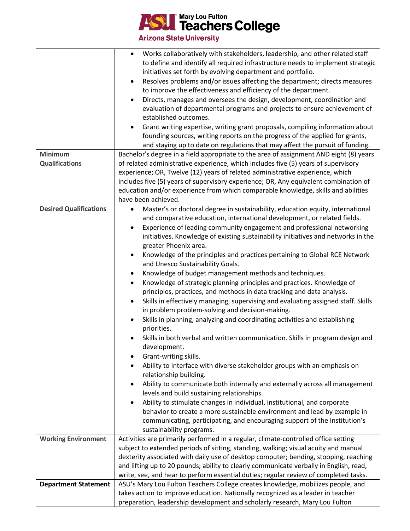

**Arizona State University** 

| <b>Minimum</b><br><b>Qualifications</b> | Works collaboratively with stakeholders, leadership, and other related staff<br>to define and identify all required infrastructure needs to implement strategic<br>initiatives set forth by evolving department and portfolio.<br>Resolves problems and/or issues affecting the department; directs measures<br>$\bullet$<br>to improve the effectiveness and efficiency of the department.<br>Directs, manages and oversees the design, development, coordination and<br>evaluation of departmental programs and projects to ensure achievement of<br>established outcomes.<br>Grant writing expertise, writing grant proposals, compiling information about<br>founding sources, writing reports on the progress of the applied for grants,<br>and staying up to date on regulations that may affect the pursuit of funding.<br>Bachelor's degree in a field appropriate to the area of assignment AND eight (8) years<br>of related administrative experience, which includes five (5) years of supervisory<br>experience; OR, Twelve (12) years of related administrative experience, which<br>includes five (5) years of supervisory experience; OR, Any equivalent combination of<br>education and/or experience from which comparable knowledge, skills and abilities<br>have been achieved.                                                                                                                                                                  |
|-----------------------------------------|----------------------------------------------------------------------------------------------------------------------------------------------------------------------------------------------------------------------------------------------------------------------------------------------------------------------------------------------------------------------------------------------------------------------------------------------------------------------------------------------------------------------------------------------------------------------------------------------------------------------------------------------------------------------------------------------------------------------------------------------------------------------------------------------------------------------------------------------------------------------------------------------------------------------------------------------------------------------------------------------------------------------------------------------------------------------------------------------------------------------------------------------------------------------------------------------------------------------------------------------------------------------------------------------------------------------------------------------------------------------------------------------------------------------------------------------------------------------|
| <b>Desired Qualifications</b>           | Master's or doctoral degree in sustainability, education equity, international<br>$\bullet$                                                                                                                                                                                                                                                                                                                                                                                                                                                                                                                                                                                                                                                                                                                                                                                                                                                                                                                                                                                                                                                                                                                                                                                                                                                                                                                                                                          |
|                                         | and comparative education, international development, or related fields.<br>Experience of leading community engagement and professional networking<br>initiatives. Knowledge of existing sustainability initiatives and networks in the<br>greater Phoenix area.<br>Knowledge of the principles and practices pertaining to Global RCE Network<br>and Unesco Sustainability Goals.<br>Knowledge of budget management methods and techniques.<br>Knowledge of strategic planning principles and practices. Knowledge of<br>principles, practices, and methods in data tracking and data analysis.<br>Skills in effectively managing, supervising and evaluating assigned staff. Skills<br>in problem problem-solving and decision-making.<br>Skills in planning, analyzing and coordinating activities and establishing<br>priorities.<br>Skills in both verbal and written communication. Skills in program design and<br>development.<br>Grant-writing skills.<br>Ability to interface with diverse stakeholder groups with an emphasis on<br>relationship building.<br>Ability to communicate both internally and externally across all management<br>levels and build sustaining relationships.<br>Ability to stimulate changes in individual, institutional, and corporate<br>behavior to create a more sustainable environment and lead by example in<br>communicating, participating, and encouraging support of the Institution's<br>sustainability programs. |
| <b>Working Environment</b>              | Activities are primarily performed in a regular, climate-controlled office setting<br>subject to extended periods of sitting, standing, walking; visual acuity and manual                                                                                                                                                                                                                                                                                                                                                                                                                                                                                                                                                                                                                                                                                                                                                                                                                                                                                                                                                                                                                                                                                                                                                                                                                                                                                            |
|                                         | dexterity associated with daily use of desktop computer; bending, stooping, reaching                                                                                                                                                                                                                                                                                                                                                                                                                                                                                                                                                                                                                                                                                                                                                                                                                                                                                                                                                                                                                                                                                                                                                                                                                                                                                                                                                                                 |
|                                         | and lifting up to 20 pounds; ability to clearly communicate verbally in English, read,<br>write, see, and hear to perform essential duties; regular review of completed tasks.                                                                                                                                                                                                                                                                                                                                                                                                                                                                                                                                                                                                                                                                                                                                                                                                                                                                                                                                                                                                                                                                                                                                                                                                                                                                                       |
| <b>Department Statement</b>             | ASU's Mary Lou Fulton Teachers College creates knowledge, mobilizes people, and                                                                                                                                                                                                                                                                                                                                                                                                                                                                                                                                                                                                                                                                                                                                                                                                                                                                                                                                                                                                                                                                                                                                                                                                                                                                                                                                                                                      |
|                                         | takes action to improve education. Nationally recognized as a leader in teacher                                                                                                                                                                                                                                                                                                                                                                                                                                                                                                                                                                                                                                                                                                                                                                                                                                                                                                                                                                                                                                                                                                                                                                                                                                                                                                                                                                                      |
|                                         | preparation, leadership development and scholarly research, Mary Lou Fulton                                                                                                                                                                                                                                                                                                                                                                                                                                                                                                                                                                                                                                                                                                                                                                                                                                                                                                                                                                                                                                                                                                                                                                                                                                                                                                                                                                                          |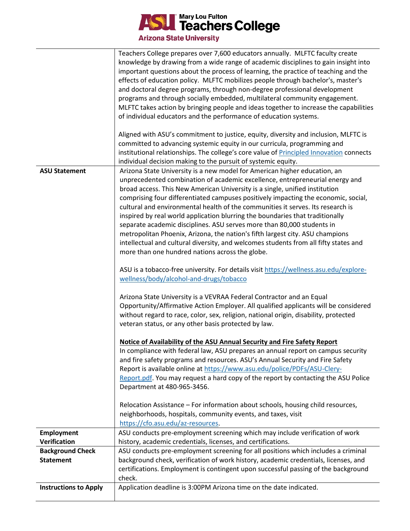

|                              | Teachers College prepares over 7,600 educators annually. MLFTC faculty create<br>knowledge by drawing from a wide range of academic disciplines to gain insight into<br>important questions about the process of learning, the practice of teaching and the<br>effects of education policy. MLFTC mobilizes people through bachelor's, master's<br>and doctoral degree programs, through non-degree professional development<br>programs and through socially embedded, multilateral community engagement.<br>MLFTC takes action by bringing people and ideas together to increase the capabilities<br>of individual educators and the performance of education systems.                                                                                                                                                                                                                                                                                                                                                                                                                                                                                                                                                                                                                                                                                                                                                                                                                                      |
|------------------------------|---------------------------------------------------------------------------------------------------------------------------------------------------------------------------------------------------------------------------------------------------------------------------------------------------------------------------------------------------------------------------------------------------------------------------------------------------------------------------------------------------------------------------------------------------------------------------------------------------------------------------------------------------------------------------------------------------------------------------------------------------------------------------------------------------------------------------------------------------------------------------------------------------------------------------------------------------------------------------------------------------------------------------------------------------------------------------------------------------------------------------------------------------------------------------------------------------------------------------------------------------------------------------------------------------------------------------------------------------------------------------------------------------------------------------------------------------------------------------------------------------------------|
|                              | Aligned with ASU's commitment to justice, equity, diversity and inclusion, MLFTC is<br>committed to advancing systemic equity in our curricula, programming and<br>institutional relationships. The college's core value of Principled Innovation connects<br>individual decision making to the pursuit of systemic equity.                                                                                                                                                                                                                                                                                                                                                                                                                                                                                                                                                                                                                                                                                                                                                                                                                                                                                                                                                                                                                                                                                                                                                                                   |
| <b>ASU Statement</b>         | Arizona State University is a new model for American higher education, an<br>unprecedented combination of academic excellence, entrepreneurial energy and<br>broad access. This New American University is a single, unified institution<br>comprising four differentiated campuses positively impacting the economic, social,<br>cultural and environmental health of the communities it serves. Its research is<br>inspired by real world application blurring the boundaries that traditionally<br>separate academic disciplines. ASU serves more than 80,000 students in<br>metropolitan Phoenix, Arizona, the nation's fifth largest city. ASU champions<br>intellectual and cultural diversity, and welcomes students from all fifty states and<br>more than one hundred nations across the globe.<br>ASU is a tobacco-free university. For details visit https://wellness.asu.edu/explore-<br>wellness/body/alcohol-and-drugs/tobacco<br>Arizona State University is a VEVRAA Federal Contractor and an Equal<br>Opportunity/Affirmative Action Employer. All qualified applicants will be considered<br>without regard to race, color, sex, religion, national origin, disability, protected<br>veteran status, or any other basis protected by law.<br>Notice of Availability of the ASU Annual Security and Fire Safety Report<br>In compliance with federal law, ASU prepares an annual report on campus security<br>and fire safety programs and resources. ASU's Annual Security and Fire Safety |
|                              | Report is available online at https://www.asu.edu/police/PDFs/ASU-Clery-<br>Report.pdf. You may request a hard copy of the report by contacting the ASU Police<br>Department at 480-965-3456.                                                                                                                                                                                                                                                                                                                                                                                                                                                                                                                                                                                                                                                                                                                                                                                                                                                                                                                                                                                                                                                                                                                                                                                                                                                                                                                 |
|                              | Relocation Assistance - For information about schools, housing child resources,<br>neighborhoods, hospitals, community events, and taxes, visit<br>https://cfo.asu.edu/az-resources.                                                                                                                                                                                                                                                                                                                                                                                                                                                                                                                                                                                                                                                                                                                                                                                                                                                                                                                                                                                                                                                                                                                                                                                                                                                                                                                          |
| <b>Employment</b>            | ASU conducts pre-employment screening which may include verification of work                                                                                                                                                                                                                                                                                                                                                                                                                                                                                                                                                                                                                                                                                                                                                                                                                                                                                                                                                                                                                                                                                                                                                                                                                                                                                                                                                                                                                                  |
| Verification                 | history, academic credentials, licenses, and certifications.                                                                                                                                                                                                                                                                                                                                                                                                                                                                                                                                                                                                                                                                                                                                                                                                                                                                                                                                                                                                                                                                                                                                                                                                                                                                                                                                                                                                                                                  |
| <b>Background Check</b>      | ASU conducts pre-employment screening for all positions which includes a criminal                                                                                                                                                                                                                                                                                                                                                                                                                                                                                                                                                                                                                                                                                                                                                                                                                                                                                                                                                                                                                                                                                                                                                                                                                                                                                                                                                                                                                             |
| <b>Statement</b>             | background check, verification of work history, academic credentials, licenses, and                                                                                                                                                                                                                                                                                                                                                                                                                                                                                                                                                                                                                                                                                                                                                                                                                                                                                                                                                                                                                                                                                                                                                                                                                                                                                                                                                                                                                           |
|                              | certifications. Employment is contingent upon successful passing of the background<br>check.                                                                                                                                                                                                                                                                                                                                                                                                                                                                                                                                                                                                                                                                                                                                                                                                                                                                                                                                                                                                                                                                                                                                                                                                                                                                                                                                                                                                                  |
| <b>Instructions to Apply</b> | Application deadline is 3:00PM Arizona time on the date indicated.                                                                                                                                                                                                                                                                                                                                                                                                                                                                                                                                                                                                                                                                                                                                                                                                                                                                                                                                                                                                                                                                                                                                                                                                                                                                                                                                                                                                                                            |
|                              |                                                                                                                                                                                                                                                                                                                                                                                                                                                                                                                                                                                                                                                                                                                                                                                                                                                                                                                                                                                                                                                                                                                                                                                                                                                                                                                                                                                                                                                                                                               |